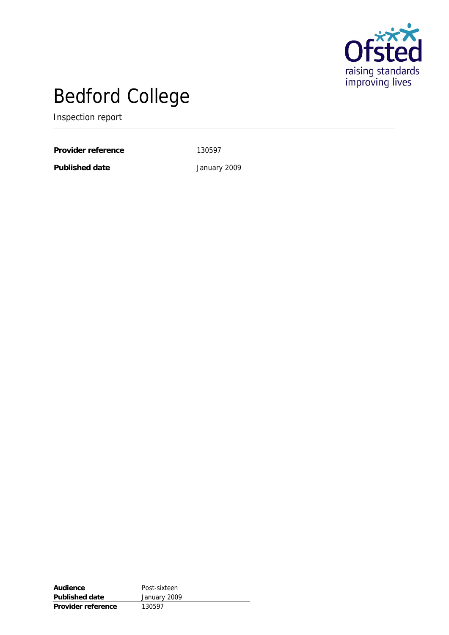

# Bedford College

Inspection report

Provider reference 130597

**Published date** January 2009

**Audience** Post-sixteen **Published date** January 2009 **Provider reference** 130597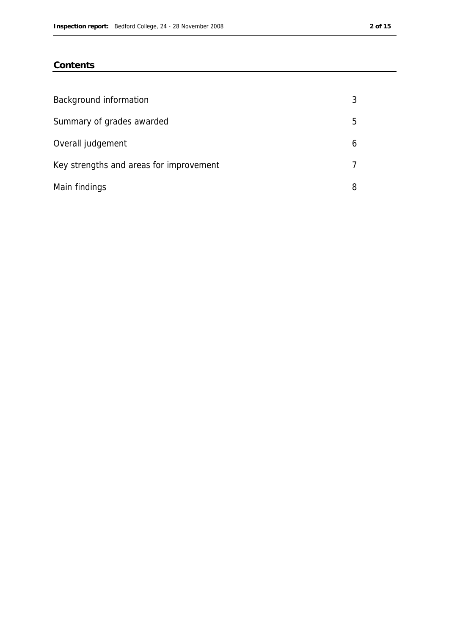### **Contents**

| Background information                  | 3  |
|-----------------------------------------|----|
| Summary of grades awarded               | 5. |
| Overall judgement                       | 6  |
| Key strengths and areas for improvement | 7  |
| Main findings                           | 8  |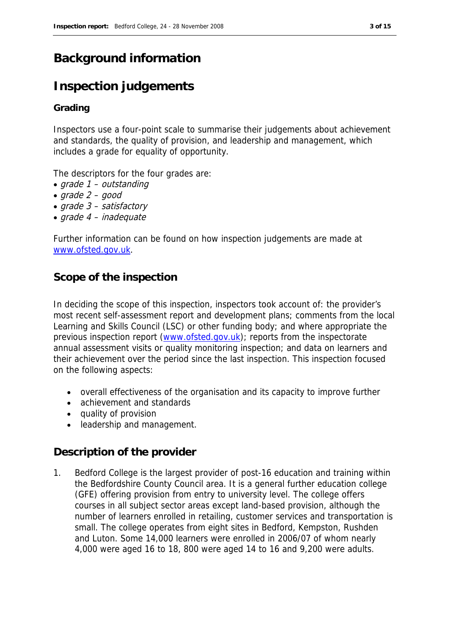## **Background information**

## **Inspection judgements**

#### **Grading**

Inspectors use a four-point scale to summarise their judgements about achievement and standards, the quality of provision, and leadership and management, which includes a grade for equality of opportunity.

The descriptors for the four grades are:

- grade 1 outstanding
- $q$ rade 2  $q$ ood
- $grade 3 satisfactory$
- grade 4 inadequate

Further information can be found on how inspection judgements are made at www.ofsted.gov.uk.

### **Scope of the inspection**

In deciding the scope of this inspection, inspectors took account of: the provider's most recent self-assessment report and development plans; comments from the local Learning and Skills Council (LSC) or other funding body; and where appropriate the previous inspection report (www.ofsted.gov.uk); reports from the inspectorate annual assessment visits or quality monitoring inspection; and data on learners and their achievement over the period since the last inspection. This inspection focused on the following aspects:

- overall effectiveness of the organisation and its capacity to improve further
- achievement and standards
- quality of provision
- leadership and management.

#### **Description of the provider**

1. Bedford College is the largest provider of post-16 education and training within the Bedfordshire County Council area. It is a general further education college (GFE) offering provision from entry to university level. The college offers courses in all subject sector areas except land-based provision, although the number of learners enrolled in retailing, customer services and transportation is small. The college operates from eight sites in Bedford, Kempston, Rushden and Luton. Some 14,000 learners were enrolled in 2006/07 of whom nearly 4,000 were aged 16 to 18, 800 were aged 14 to 16 and 9,200 were adults.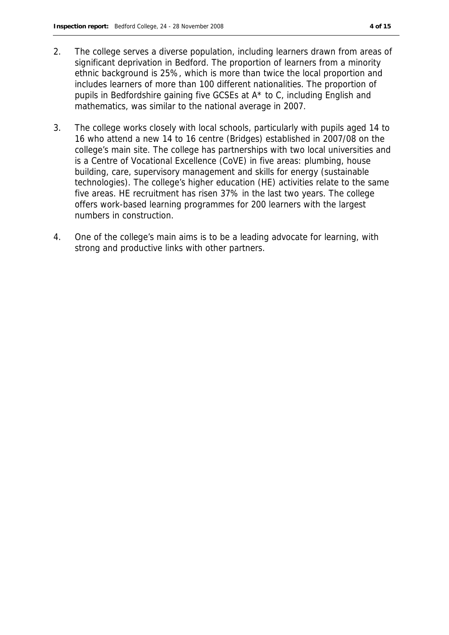- 2. The college serves a diverse population, including learners drawn from areas of significant deprivation in Bedford. The proportion of learners from a minority ethnic background is 25%, which is more than twice the local proportion and includes learners of more than 100 different nationalities. The proportion of pupils in Bedfordshire gaining five GCSEs at A\* to C, including English and mathematics, was similar to the national average in 2007.
- 3. The college works closely with local schools, particularly with pupils aged 14 to 16 who attend a new 14 to 16 centre (Bridges) established in 2007/08 on the college's main site. The college has partnerships with two local universities and is a Centre of Vocational Excellence (CoVE) in five areas: plumbing, house building, care, supervisory management and skills for energy (sustainable technologies). The college's higher education (HE) activities relate to the same five areas. HE recruitment has risen 37% in the last two years. The college offers work-based learning programmes for 200 learners with the largest numbers in construction.
- 4. One of the college's main aims is to be a leading advocate for learning, with strong and productive links with other partners.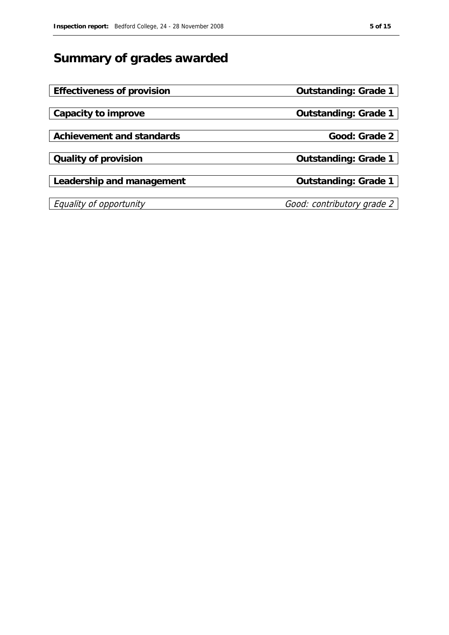## **Summary of grades awarded**

| Effectiveness of provision | Outstanding: Grade 1       |
|----------------------------|----------------------------|
|                            |                            |
| Capacity to improve        | Outstanding: Grade 1       |
|                            |                            |
| Achievement and standards  | Good: Grade 2              |
|                            |                            |
| Quality of provision       | Outstanding: Grade 1       |
|                            |                            |
| Leadership and management  | Outstanding: Grade 1       |
|                            |                            |
| Equality of opportunity    | Good: contributory grade 2 |
|                            |                            |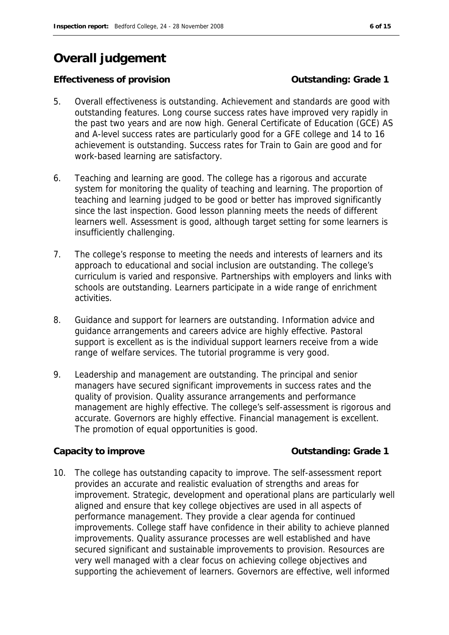## **Overall judgement**

#### **Effectiveness of provision** Content Content Contenting: Grade 1

- 5. Overall effectiveness is outstanding. Achievement and standards are good with outstanding features. Long course success rates have improved very rapidly in the past two years and are now high. General Certificate of Education (GCE) AS and A-level success rates are particularly good for a GFE college and 14 to 16 achievement is outstanding. Success rates for Train to Gain are good and for work-based learning are satisfactory.
- 6. Teaching and learning are good. The college has a rigorous and accurate system for monitoring the quality of teaching and learning. The proportion of teaching and learning judged to be good or better has improved significantly since the last inspection. Good lesson planning meets the needs of different learners well. Assessment is good, although target setting for some learners is insufficiently challenging.
- 7. The college's response to meeting the needs and interests of learners and its approach to educational and social inclusion are outstanding. The college's curriculum is varied and responsive. Partnerships with employers and links with schools are outstanding. Learners participate in a wide range of enrichment activities.
- 8. Guidance and support for learners are outstanding. Information advice and guidance arrangements and careers advice are highly effective. Pastoral support is excellent as is the individual support learners receive from a wide range of welfare services. The tutorial programme is very good.
- 9. Leadership and management are outstanding. The principal and senior managers have secured significant improvements in success rates and the quality of provision. Quality assurance arrangements and performance management are highly effective. The college's self-assessment is rigorous and accurate. Governors are highly effective. Financial management is excellent. The promotion of equal opportunities is good.

#### Capacity to improve **Capacity to improve Capacity** to improve **Capacity Capacity** to improve **Capacity Capacity C**

10. The college has outstanding capacity to improve. The self-assessment report provides an accurate and realistic evaluation of strengths and areas for improvement. Strategic, development and operational plans are particularly well aligned and ensure that key college objectives are used in all aspects of performance management. They provide a clear agenda for continued improvements. College staff have confidence in their ability to achieve planned improvements. Quality assurance processes are well established and have secured significant and sustainable improvements to provision. Resources are very well managed with a clear focus on achieving college objectives and supporting the achievement of learners. Governors are effective, well informed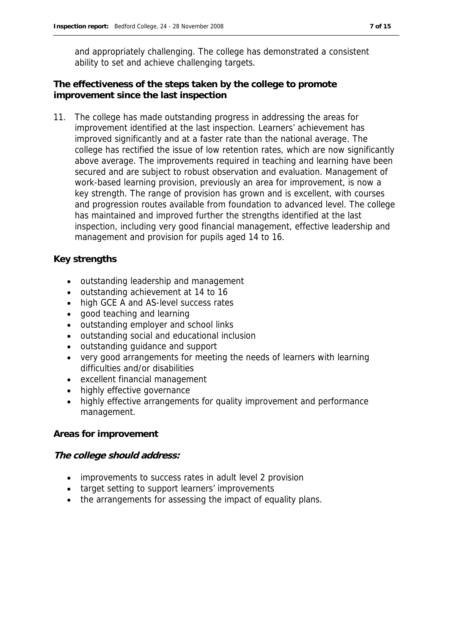and appropriately challenging. The college has demonstrated a consistent ability to set and achieve challenging targets.

**The effectiveness of the steps taken by the college to promote improvement since the last inspection**

11. The college has made outstanding progress in addressing the areas for improvement identified at the last inspection. Learners' achievement has improved significantly and at a faster rate than the national average. The college has rectified the issue of low retention rates, which are now significantly above average. The improvements required in teaching and learning have been secured and are subject to robust observation and evaluation. Management of work-based learning provision, previously an area for improvement, is now a key strength. The range of provision has grown and is excellent, with courses and progression routes available from foundation to advanced level. The college has maintained and improved further the strengths identified at the last inspection, including very good financial management, effective leadership and management and provision for pupils aged 14 to 16.

#### **Key strengths**

- outstanding leadership and management
- outstanding achievement at 14 to 16
- high GCE A and AS-level success rates
- good teaching and learning
- outstanding employer and school links
- outstanding social and educational inclusion
- outstanding guidance and support
- very good arrangements for meeting the needs of learners with learning difficulties and/or disabilities
- excellent financial management
- highly effective governance
- highly effective arrangements for quality improvement and performance management.

#### **Areas for improvement**

#### **The college should address:**

- improvements to success rates in adult level 2 provision
- target setting to support learners' improvements
- the arrangements for assessing the impact of equality plans.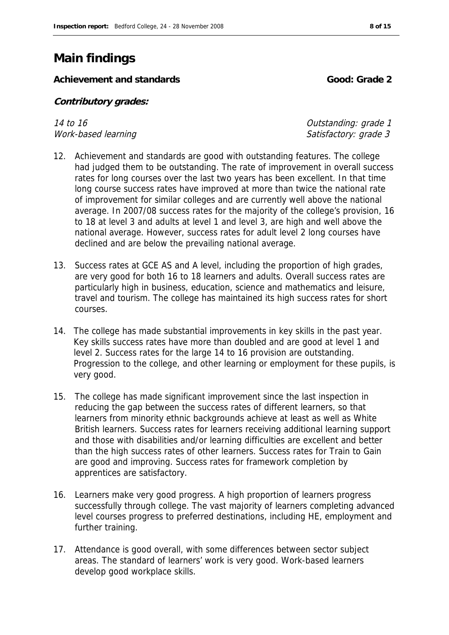## **Main findings**

**Achievement and standards Good: Grade 2** 

**Contributory grades:** 

14 to 16 Outstanding: grade 1 Work-based learning and the state of the Satisfactory: grade 3

- 12. Achievement and standards are good with outstanding features. The college had judged them to be outstanding. The rate of improvement in overall success rates for long courses over the last two years has been excellent. In that time long course success rates have improved at more than twice the national rate of improvement for similar colleges and are currently well above the national average. In 2007/08 success rates for the majority of the college's provision, 16 to 18 at level 3 and adults at level 1 and level 3, are high and well above the national average. However, success rates for adult level 2 long courses have declined and are below the prevailing national average.
- 13. Success rates at GCE AS and A level, including the proportion of high grades, are very good for both 16 to 18 learners and adults. Overall success rates are particularly high in business, education, science and mathematics and leisure, travel and tourism. The college has maintained its high success rates for short courses.
- 14. The college has made substantial improvements in key skills in the past year. Key skills success rates have more than doubled and are good at level 1 and level 2. Success rates for the large 14 to 16 provision are outstanding. Progression to the college, and other learning or employment for these pupils, is very good.
- 15. The college has made significant improvement since the last inspection in reducing the gap between the success rates of different learners, so that learners from minority ethnic backgrounds achieve at least as well as White British learners. Success rates for learners receiving additional learning support and those with disabilities and/or learning difficulties are excellent and better than the high success rates of other learners. Success rates for Train to Gain are good and improving. Success rates for framework completion by apprentices are satisfactory.
- 16. Learners make very good progress. A high proportion of learners progress successfully through college. The vast majority of learners completing advanced level courses progress to preferred destinations, including HE, employment and further training.
- 17. Attendance is good overall, with some differences between sector subject areas. The standard of learners' work is very good. Work-based learners develop good workplace skills.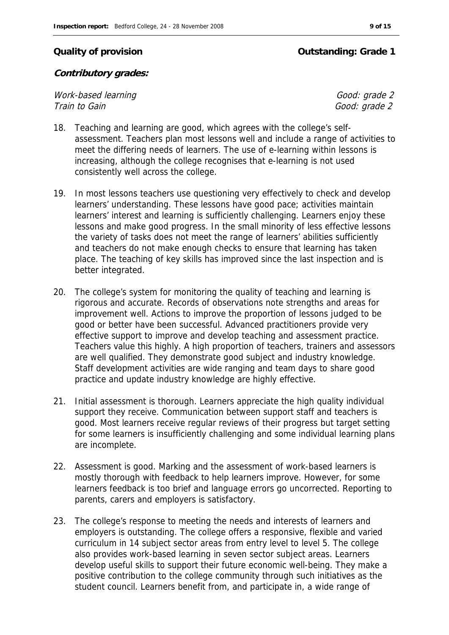#### **Quality of provision Outstanding: Grade 1**

#### **Contributory grades:**

Work-based learning and the contract of the Good: grade 2 Train to Gain  $\overline{a}$  and  $\overline{b}$  and  $\overline{c}$  and  $\overline{c}$  and  $\overline{c}$  and  $\overline{c}$  and  $\overline{c}$  and  $\overline{c}$  and  $\overline{c}$  and  $\overline{c}$  and  $\overline{c}$  and  $\overline{c}$  and  $\overline{c}$  and  $\overline{c}$  and  $\overline{c}$  and  $\overline{c}$  and

- 18. Teaching and learning are good, which agrees with the college's selfassessment. Teachers plan most lessons well and include a range of activities to meet the differing needs of learners. The use of e-learning within lessons is increasing, although the college recognises that e-learning is not used consistently well across the college.
- 19. In most lessons teachers use questioning very effectively to check and develop learners' understanding. These lessons have good pace; activities maintain learners' interest and learning is sufficiently challenging. Learners enjoy these lessons and make good progress. In the small minority of less effective lessons the variety of tasks does not meet the range of learners' abilities sufficiently and teachers do not make enough checks to ensure that learning has taken place. The teaching of key skills has improved since the last inspection and is better integrated.
- 20. The college's system for monitoring the quality of teaching and learning is rigorous and accurate. Records of observations note strengths and areas for improvement well. Actions to improve the proportion of lessons judged to be good or better have been successful. Advanced practitioners provide very effective support to improve and develop teaching and assessment practice. Teachers value this highly. A high proportion of teachers, trainers and assessors are well qualified. They demonstrate good subject and industry knowledge. Staff development activities are wide ranging and team days to share good practice and update industry knowledge are highly effective.
- 21. Initial assessment is thorough. Learners appreciate the high quality individual support they receive. Communication between support staff and teachers is good. Most learners receive regular reviews of their progress but target setting for some learners is insufficiently challenging and some individual learning plans are incomplete.
- 22. Assessment is good. Marking and the assessment of work-based learners is mostly thorough with feedback to help learners improve. However, for some learners feedback is too brief and language errors go uncorrected. Reporting to parents, carers and employers is satisfactory.
- 23. The college's response to meeting the needs and interests of learners and employers is outstanding. The college offers a responsive, flexible and varied curriculum in 14 subject sector areas from entry level to level 5. The college also provides work-based learning in seven sector subject areas. Learners develop useful skills to support their future economic well-being. They make a positive contribution to the college community through such initiatives as the student council. Learners benefit from, and participate in, a wide range of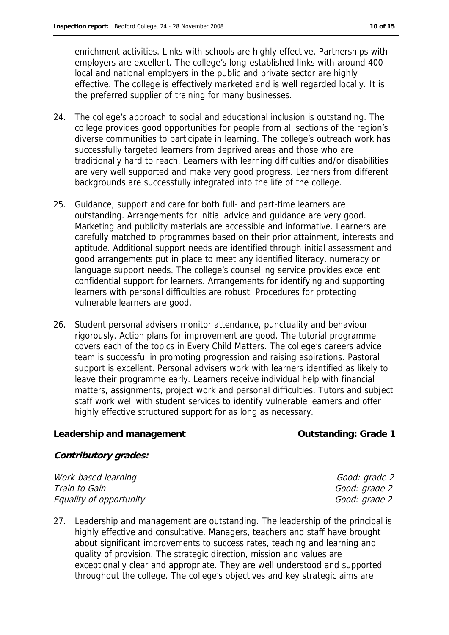enrichment activities. Links with schools are highly effective. Partnerships with employers are excellent. The college's long-established links with around 400 local and national employers in the public and private sector are highly effective. The college is effectively marketed and is well regarded locally. It is the preferred supplier of training for many businesses.

- 24. The college's approach to social and educational inclusion is outstanding. The college provides good opportunities for people from all sections of the region's diverse communities to participate in learning. The college's outreach work has successfully targeted learners from deprived areas and those who are traditionally hard to reach. Learners with learning difficulties and/or disabilities are very well supported and make very good progress. Learners from different backgrounds are successfully integrated into the life of the college.
- 25. Guidance, support and care for both full- and part-time learners are outstanding. Arrangements for initial advice and guidance are very good. Marketing and publicity materials are accessible and informative. Learners are carefully matched to programmes based on their prior attainment, interests and aptitude. Additional support needs are identified through initial assessment and good arrangements put in place to meet any identified literacy, numeracy or language support needs. The college's counselling service provides excellent confidential support for learners. Arrangements for identifying and supporting learners with personal difficulties are robust. Procedures for protecting vulnerable learners are good.
- 26. Student personal advisers monitor attendance, punctuality and behaviour rigorously. Action plans for improvement are good. The tutorial programme covers each of the topics in Every Child Matters. The college's careers advice team is successful in promoting progression and raising aspirations. Pastoral support is excellent. Personal advisers work with learners identified as likely to leave their programme early. Learners receive individual help with financial matters, assignments, project work and personal difficulties. Tutors and subject staff work well with student services to identify vulnerable learners and offer highly effective structured support for as long as necessary.

Leadership and management **Contact Contact Contact Contact Contact Contact Contact Contact Contact Contact Conta** 

**Contributory grades:**

Work-based learning and the contract of the Good: grade 2 Train to Gain Good: grade 2 Equality of opportunity Equality of opportunity

27. Leadership and management are outstanding. The leadership of the principal is highly effective and consultative. Managers, teachers and staff have brought about significant improvements to success rates, teaching and learning and quality of provision. The strategic direction, mission and values are exceptionally clear and appropriate. They are well understood and supported throughout the college. The college's objectives and key strategic aims are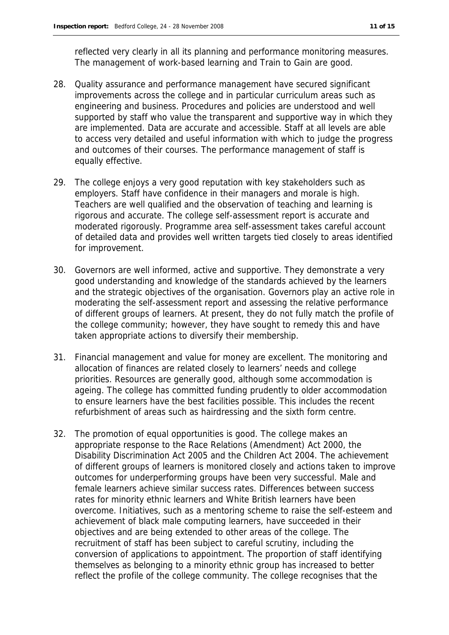reflected very clearly in all its planning and performance monitoring measures. The management of work-based learning and Train to Gain are good.

- 28. Quality assurance and performance management have secured significant improvements across the college and in particular curriculum areas such as engineering and business. Procedures and policies are understood and well supported by staff who value the transparent and supportive way in which they are implemented. Data are accurate and accessible. Staff at all levels are able to access very detailed and useful information with which to judge the progress and outcomes of their courses. The performance management of staff is equally effective.
- 29. The college enjoys a very good reputation with key stakeholders such as employers. Staff have confidence in their managers and morale is high. Teachers are well qualified and the observation of teaching and learning is rigorous and accurate. The college self-assessment report is accurate and moderated rigorously. Programme area self-assessment takes careful account of detailed data and provides well written targets tied closely to areas identified for improvement.
- 30. Governors are well informed, active and supportive. They demonstrate a very good understanding and knowledge of the standards achieved by the learners and the strategic objectives of the organisation. Governors play an active role in moderating the self-assessment report and assessing the relative performance of different groups of learners. At present, they do not fully match the profile of the college community; however, they have sought to remedy this and have taken appropriate actions to diversify their membership.
- 31. Financial management and value for money are excellent. The monitoring and allocation of finances are related closely to learners' needs and college priorities. Resources are generally good, although some accommodation is ageing. The college has committed funding prudently to older accommodation to ensure learners have the best facilities possible. This includes the recent refurbishment of areas such as hairdressing and the sixth form centre.
- 32. The promotion of equal opportunities is good. The college makes an appropriate response to the Race Relations (Amendment) Act 2000, the Disability Discrimination Act 2005 and the Children Act 2004. The achievement of different groups of learners is monitored closely and actions taken to improve outcomes for underperforming groups have been very successful. Male and female learners achieve similar success rates. Differences between success rates for minority ethnic learners and White British learners have been overcome. Initiatives, such as a mentoring scheme to raise the self-esteem and achievement of black male computing learners, have succeeded in their objectives and are being extended to other areas of the college. The recruitment of staff has been subject to careful scrutiny, including the conversion of applications to appointment. The proportion of staff identifying themselves as belonging to a minority ethnic group has increased to better reflect the profile of the college community. The college recognises that the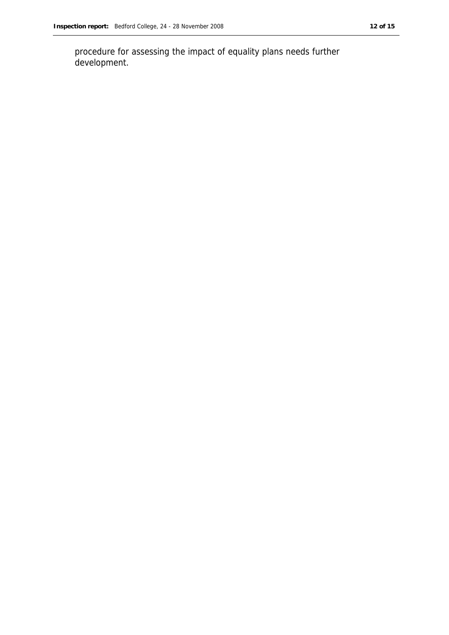procedure for assessing the impact of equality plans needs further development.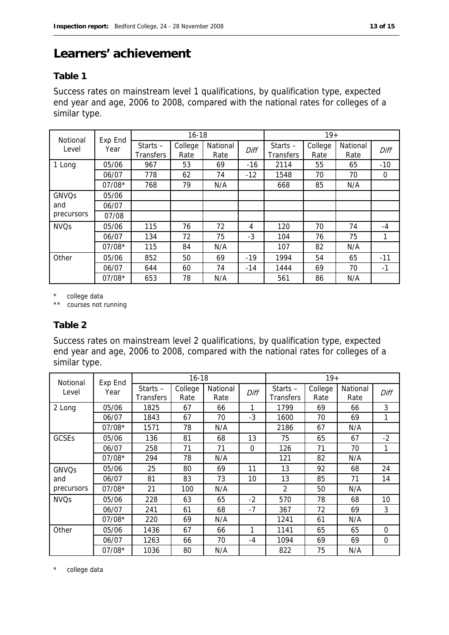## **Learners' achievement**

#### **Table 1**

Success rates on mainstream level 1 qualifications, by qualification type, expected end year and age, 2006 to 2008, compared with the national rates for colleges of a similar type.

| Notional    | Exp End  | $16 - 18$                      |                 |                  |       | $19+$                          |                 |                  |          |
|-------------|----------|--------------------------------|-----------------|------------------|-------|--------------------------------|-----------------|------------------|----------|
| Level       | Year     | Starts $-$<br><b>Transfers</b> | College<br>Rate | National<br>Rate | Diff  | Starts $-$<br><b>Transfers</b> | College<br>Rate | National<br>Rate | Diff     |
| 1 Long      | 05/06    | 967                            | 53              | 69               | $-16$ | 2114                           | 55              | 65               | $-10$    |
|             | 06/07    | 778                            | 62              | 74               | $-12$ | 1548                           | 70              | 70               | $\Omega$ |
|             | $07/08*$ | 768                            | 79              | N/A              |       | 668                            | 85              | N/A              |          |
| GNVQs       | 05/06    |                                |                 |                  |       |                                |                 |                  |          |
| and         | 06/07    |                                |                 |                  |       |                                |                 |                  |          |
| precursors  | 07/08    |                                |                 |                  |       |                                |                 |                  |          |
| <b>NVQs</b> | 05/06    | 115                            | 76              | 72               | 4     | 120                            | 70              | 74               | $-4$     |
|             | 06/07    | 134                            | 72              | 75               | $-3$  | 104                            | 76              | 75               | 1        |
|             | $07/08*$ | 115                            | 84              | N/A              |       | 107                            | 82              | N/A              |          |
| Other       | 05/06    | 852                            | 50              | 69               | $-19$ | 1994                           | 54              | 65               | $-11$    |
|             | 06/07    | 644                            | 60              | 74               | $-14$ | 1444                           | 69              | 70               | $-1$     |
|             | $07/08*$ | 653                            | 78              | N/A              |       | 561                            | 86              | N/A              |          |

\* college data

\*\* courses not running

#### **Table 2**

Success rates on mainstream level 2 qualifications, by qualification type, expected end year and age, 2006 to 2008, compared with the national rates for colleges of a similar type.

| Notional     | Exp End  | $16 - 18$                      |                 |                  |          | $19+$                          |                 |                  |          |
|--------------|----------|--------------------------------|-----------------|------------------|----------|--------------------------------|-----------------|------------------|----------|
| Level        | Year     | Starts $-$<br><b>Transfers</b> | College<br>Rate | National<br>Rate | Diff     | Starts $-$<br><b>Transfers</b> | College<br>Rate | National<br>Rate | Diff     |
| 2 Long       | 05/06    | 1825                           | 67              | 66               | 1        | 1799                           | 69              | 66               | 3        |
|              | 06/07    | 1843                           | 67              | 70               | $-3$     | 1600                           | 70              | 69               | 1        |
|              | $07/08*$ | 1571                           | 78              | N/A              |          | 2186                           | 67              | N/A              |          |
| <b>GCSEs</b> | 05/06    | 136                            | 81              | 68               | 13       | 75                             | 65              | 67               | $-2$     |
|              | 06/07    | 258                            | 71              | 71               | $\Omega$ | 126                            | 71              | 70               | 1        |
|              | $07/08*$ | 294                            | 78              | N/A              |          | 121                            | 82              | N/A              |          |
| <b>GNVQs</b> | 05/06    | 25                             | 80              | 69               | 11       | 13                             | 92              | 68               | 24       |
| and          | 06/07    | 81                             | 83              | 73               | 10       | 13                             | 85              | 71               | 14       |
| precursors   | $07/08*$ | 21                             | 100             | N/A              |          | 2                              | 50              | N/A              |          |
| <b>NVQs</b>  | 05/06    | 228                            | 63              | 65               | $-2$     | 570                            | 78              | 68               | 10       |
|              | 06/07    | 241                            | 61              | 68               | $-7$     | 367                            | 72              | 69               | 3        |
|              | $07/08*$ | 220                            | 69              | N/A              |          | 1241                           | 61              | N/A              |          |
| Other        | 05/06    | 1436                           | 67              | 66               | 1        | 1141                           | 65              | 65               | $\Omega$ |
|              | 06/07    | 1263                           | 66              | 70               | $-4$     | 1094                           | 69              | 69               | $\Omega$ |
|              | $07/08*$ | 1036                           | 80              | N/A              |          | 822                            | 75              | N/A              |          |

\* college data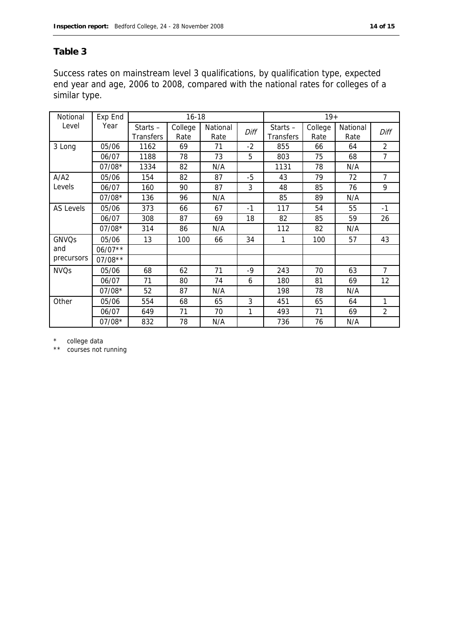#### **Table 3**

Success rates on mainstream level 3 qualifications, by qualification type, expected end year and age, 2006 to 2008, compared with the national rates for colleges of a similar type.

| Notional         | Exp End   |                         | $16 - 18$       |                  | $19+$ |                                |                 |                  |                |
|------------------|-----------|-------------------------|-----------------|------------------|-------|--------------------------------|-----------------|------------------|----------------|
| Level            | Year      | Starts $-$<br>Transfers | College<br>Rate | National<br>Rate | Diff  | Starts $-$<br><b>Transfers</b> | College<br>Rate | National<br>Rate | Diff           |
| 3 Long           | 05/06     | 1162                    | 69              | 71               | $-2$  | 855                            | 66              | 64               | $\overline{2}$ |
|                  | 06/07     | 1188                    | 78              | 73               | 5     | 803                            | 75              | 68               | 7              |
|                  | 07/08*    | 1334                    | 82              | N/A              |       | 1131                           | 78              | N/A              |                |
| A/A2             | 05/06     | 154                     | 82              | 87               | $-5$  | 43                             | 79              | 72               | $\overline{7}$ |
| Levels           | 06/07     | 160                     | 90              | 87               | 3     | 48                             | 85              | 76               | 9              |
|                  | $07/08*$  | 136                     | 96              | N/A              |       | 85                             | 89              | N/A              |                |
| <b>AS Levels</b> | 05/06     | 373                     | 66              | 67               | $-1$  | 117                            | 54              | 55               | $-1$           |
|                  | 06/07     | 308                     | 87              | 69               | 18    | 82                             | 85              | 59               | 26             |
|                  | 07/08*    | 314                     | 86              | N/A              |       | 112                            | 82              | N/A              |                |
| GNVQs            | 05/06     | 13                      | 100             | 66               | 34    | 1                              | 100             | 57               | 43             |
| and              | $06/07**$ |                         |                 |                  |       |                                |                 |                  |                |
| precursors       | $07/08**$ |                         |                 |                  |       |                                |                 |                  |                |
| <b>NVQs</b>      | 05/06     | 68                      | 62              | 71               | $-9$  | 243                            | 70              | 63               | $\overline{7}$ |
|                  | 06/07     | 71                      | 80              | 74               | 6     | 180                            | 81              | 69               | 12             |
|                  | $07/08*$  | 52                      | 87              | N/A              |       | 198                            | 78              | N/A              |                |
| Other            | 05/06     | 554                     | 68              | 65               | 3     | 451                            | 65              | 64               | 1              |
|                  | 06/07     | 649                     | 71              | 70               | 1     | 493                            | 71              | 69               | $\overline{2}$ |
|                  | 07/08*    | 832                     | 78              | N/A              |       | 736                            | 76              | N/A              |                |

\* college data

\*\* courses not running